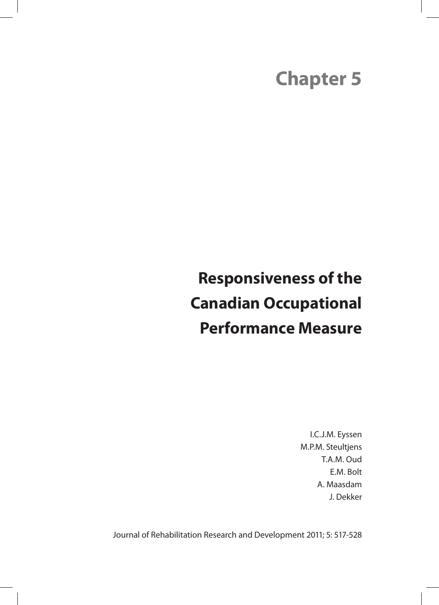# **Chapter 5**

# **Responsiveness of the Canadian Occupational Performance Measure**

I.C.J.M. Eyssen M.P.M. Steultjens T.A.M. Oud E.M. Bolt A. Maasdam J. Dekker

Journal of Rehabilitation Research and Development 2011; 5: 517-528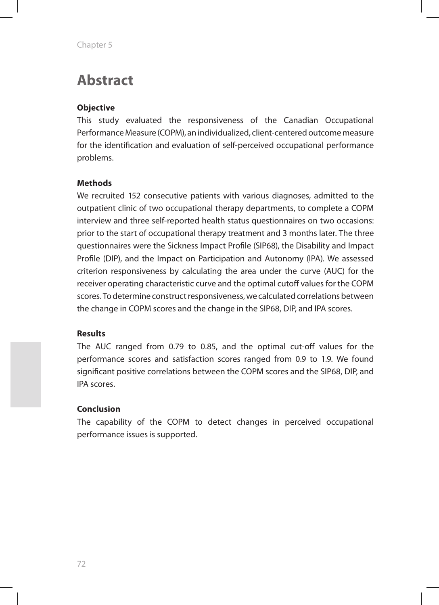# **Abstract**

#### **Objective**

This study evaluated the responsiveness of the Canadian Occupational Performance Measure (COPM), an individualized, client-centered outcome measure for the identification and evaluation of self-perceived occupational performance problems.

#### **Methods**

We recruited 152 consecutive patients with various diagnoses, admitted to the outpatient clinic of two occupational therapy departments, to complete a COPM interview and three self-reported health status questionnaires on two occasions: prior to the start of occupational therapy treatment and 3 months later. The three questionnaires were the Sickness Impact Profile (SIP68), the Disability and Impact Profile (DIP), and the Impact on Participation and Autonomy (IPA). We assessed criterion responsiveness by calculating the area under the curve (AUC) for the receiver operating characteristic curve and the optimal cutoff values for the COPM scores. To determine construct responsiveness, we calculated correlations between the change in COPM scores and the change in the SIP68, DIP, and IPA scores.

#### **Results**

The AUC ranged from 0.79 to 0.85, and the optimal cut-off values for the performance scores and satisfaction scores ranged from 0.9 to 1.9. We found significant positive correlations between the COPM scores and the SIP68, DIP, and IPA scores.

#### **Conclusion**

The capability of the COPM to detect changes in perceived occupational performance issues is supported.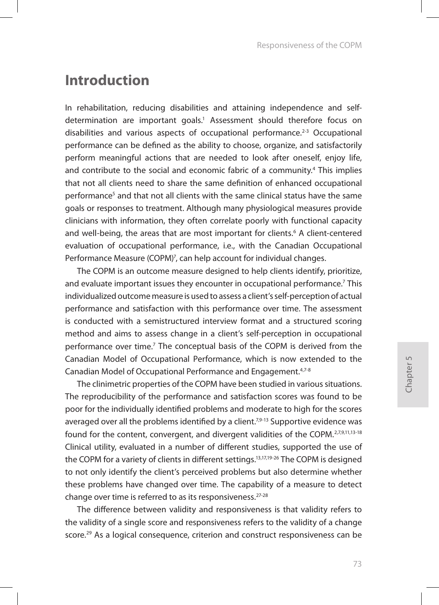### **Introduction**

In rehabilitation, reducing disabilities and attaining independence and selfdetermination are important goals.<sup>1</sup> Assessment should therefore focus on disabilities and various aspects of occupational performance.<sup>2-3</sup> Occupational performance can be defined as the ability to choose, organize, and satisfactorily perform meaningful actions that are needed to look after oneself, enjoy life, and contribute to the social and economic fabric of a community.<sup>4</sup> This implies that not all clients need to share the same definition of enhanced occupational performance<sup>5</sup> and that not all clients with the same clinical status have the same goals or responses to treatment. Although many physiological measures provide clinicians with information, they often correlate poorly with functional capacity and well-being, the areas that are most important for clients.<sup>6</sup> A client-centered evaluation of occupational performance, i.e., with the Canadian Occupational Performance Measure (COPM)<sup>7</sup>, can help account for individual changes.

The COPM is an outcome measure designed to help clients identify, prioritize, and evaluate important issues they encounter in occupational performance.<sup>7</sup> This individualized outcome measure is used to assess a client's self-perception of actual performance and satisfaction with this performance over time. The assessment is conducted with a semistructured interview format and a structured scoring method and aims to assess change in a client's self-perception in occupational performance over time.<sup>7</sup> The conceptual basis of the COPM is derived from the Canadian Model of Occupational Performance, which is now extended to the Canadian Model of Occupational Performance and Engagement.4,7-8

The clinimetric properties of the COPM have been studied in various situations. The reproducibility of the performance and satisfaction scores was found to be poor for the individually identified problems and moderate to high for the scores averaged over all the problems identified by a client.<sup>7,9-13</sup> Supportive evidence was found for the content, convergent, and divergent validities of the COPM.<sup>2,7,9,11,13-18</sup> Clinical utility, evaluated in a number of different studies, supported the use of the COPM for a variety of clients in different settings.<sup>13,17,19-26</sup> The COPM is designed to not only identify the client's perceived problems but also determine whether these problems have changed over time. The capability of a measure to detect change over time is referred to as its responsiveness.<sup>27-28</sup>

The difference between validity and responsiveness is that validity refers to the validity of a single score and responsiveness refers to the validity of a change score.29 As a logical consequence, criterion and construct responsiveness can be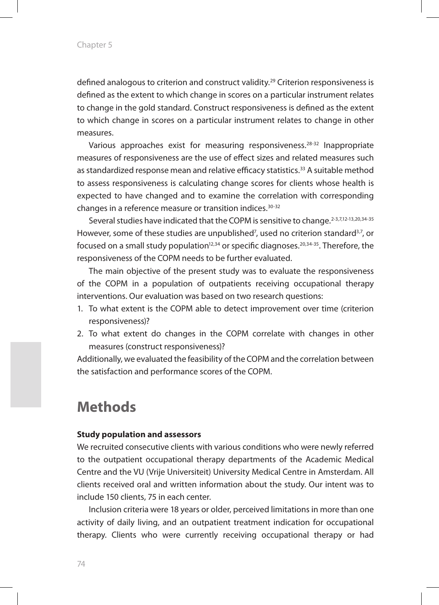defined analogous to criterion and construct validity.29 Criterion responsiveness is defined as the extent to which change in scores on a particular instrument relates to change in the gold standard. Construct responsiveness is defined as the extent to which change in scores on a particular instrument relates to change in other measures.

Various approaches exist for measuring responsiveness.28-32 Inappropriate measures of responsiveness are the use of effect sizes and related measures such as standardized response mean and relative efficacy statistics.33 A suitable method to assess responsiveness is calculating change scores for clients whose health is expected to have changed and to examine the correlation with corresponding changes in a reference measure or transition indices.<sup>30-32</sup>

Several studies have indicated that the COPM is sensitive to change.<sup>2-3,7,12-13,20,34-35</sup> However, some of these studies are unpublished<sup>7</sup>, used no criterion standard<sup>3,7</sup>, or focused on a small study population<sup>12,34</sup> or specific diagnoses.<sup>20,34-35</sup>. Therefore, the responsiveness of the COPM needs to be further evaluated.

The main objective of the present study was to evaluate the responsiveness of the COPM in a population of outpatients receiving occupational therapy interventions. Our evaluation was based on two research questions:

- 1. To what extent is the COPM able to detect improvement over time (criterion responsiveness)?
- 2. To what extent do changes in the COPM correlate with changes in other measures (construct responsiveness)?

Additionally, we evaluated the feasibility of the COPM and the correlation between the satisfaction and performance scores of the COPM.

### **Methods**

#### **Study population and assessors**

We recruited consecutive clients with various conditions who were newly referred to the outpatient occupational therapy departments of the Academic Medical Centre and the VU (Vrije Universiteit) University Medical Centre in Amsterdam. All clients received oral and written information about the study. Our intent was to include 150 clients, 75 in each center.

Inclusion criteria were 18 years or older, perceived limitations in more than one activity of daily living, and an outpatient treatment indication for occupational therapy. Clients who were currently receiving occupational therapy or had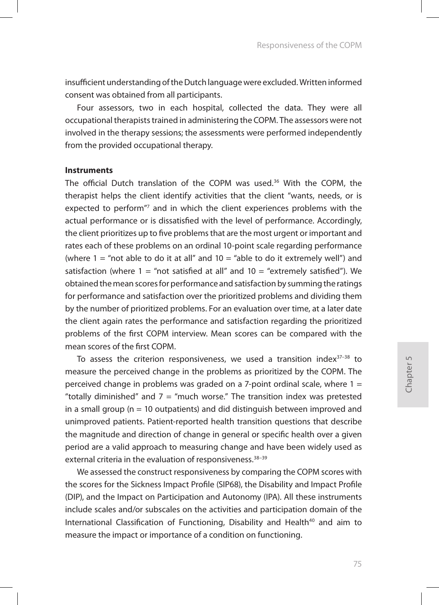insufficient understanding of the Dutch language were excluded. Written informed consent was obtained from all participants.

Four assessors, two in each hospital, collected the data. They were all occupational therapists trained in administering the COPM. The assessors were not involved in the therapy sessions; the assessments were performed independently from the provided occupational therapy.

#### **Instruments**

The official Dutch translation of the COPM was used.<sup>36</sup> With the COPM, the therapist helps the client identify activities that the client "wants, needs, or is expected to perform"7 and in which the client experiences problems with the actual performance or is dissatisfied with the level of performance. Accordingly, the client prioritizes up to five problems that are the most urgent or important and rates each of these problems on an ordinal 10-point scale regarding performance (where  $1 =$  "not able to do it at all" and  $10 =$  "able to do it extremely well") and satisfaction (where  $1 =$  "not satisfied at all" and  $10 =$  "extremely satisfied"). We obtained the mean scores for performance and satisfaction by summing the ratings for performance and satisfaction over the prioritized problems and dividing them by the number of prioritized problems. For an evaluation over time, at a later date the client again rates the performance and satisfaction regarding the prioritized problems of the first COPM interview. Mean scores can be compared with the mean scores of the first COPM.

To assess the criterion responsiveness, we used a transition index<sup>37-38</sup> to measure the perceived change in the problems as prioritized by the COPM. The perceived change in problems was graded on a 7-point ordinal scale, where  $1 =$ "totally diminished" and  $7 =$  "much worse." The transition index was pretested in a small group ( $n = 10$  outpatients) and did distinguish between improved and unimproved patients. Patient-reported health transition questions that describe the magnitude and direction of change in general or specific health over a given period are a valid approach to measuring change and have been widely used as external criteria in the evaluation of responsiveness.<sup>38-39</sup>

We assessed the construct responsiveness by comparing the COPM scores with the scores for the Sickness Impact Profile (SIP68), the Disability and Impact Profile (DIP), and the Impact on Participation and Autonomy (IPA). All these instruments include scales and/or subscales on the activities and participation domain of the International Classification of Functioning, Disability and Health<sup>40</sup> and aim to measure the impact or importance of a condition on functioning.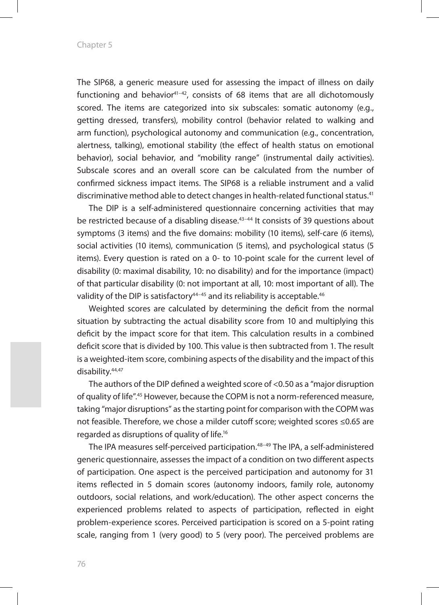The SIP68, a generic measure used for assessing the impact of illness on daily functioning and behavior<sup>41-42</sup>, consists of 68 items that are all dichotomously scored. The items are categorized into six subscales: somatic autonomy (e.g., getting dressed, transfers), mobility control (behavior related to walking and arm function), psychological autonomy and communication (e.g., concentration, alertness, talking), emotional stability (the effect of health status on emotional behavior), social behavior, and "mobility range" (instrumental daily activities). Subscale scores and an overall score can be calculated from the number of confirmed sickness impact items. The SIP68 is a reliable instrument and a valid discriminative method able to detect changes in health-related functional status.41

The DIP is a self-administered questionnaire concerning activities that may be restricted because of a disabling disease.43–44 It consists of 39 questions about symptoms (3 items) and the five domains: mobility (10 items), self-care (6 items), social activities (10 items), communication (5 items), and psychological status (5 items). Every question is rated on a 0- to 10-point scale for the current level of disability (0: maximal disability, 10: no disability) and for the importance (impact) of that particular disability (0: not important at all, 10: most important of all). The validity of the DIP is satisfactory<sup>44-45</sup> and its reliability is acceptable.<sup>46</sup>

Weighted scores are calculated by determining the deficit from the normal situation by subtracting the actual disability score from 10 and multiplying this deficit by the impact score for that item. This calculation results in a combined deficit score that is divided by 100. This value is then subtracted from 1. The result is a weighted-item score, combining aspects of the disability and the impact of this disability.<sup>44,47</sup>

The authors of the DIP defined a weighted score of <0.50 as a "major disruption of quality of life".45 However, because the COPM is not a norm-referenced measure, taking "major disruptions" as the starting point for comparison with the COPM was not feasible. Therefore, we chose a milder cutoff score; weighted scores ≤0.65 are regarded as disruptions of quality of life.16

The IPA measures self-perceived participation.48–49 The IPA, a self-administered generic questionnaire, assesses the impact of a condition on two different aspects of participation. One aspect is the perceived participation and autonomy for 31 items reflected in 5 domain scores (autonomy indoors, family role, autonomy outdoors, social relations, and work/education). The other aspect concerns the experienced problems related to aspects of participation, reflected in eight problem-experience scores. Perceived participation is scored on a 5-point rating scale, ranging from 1 (very good) to 5 (very poor). The perceived problems are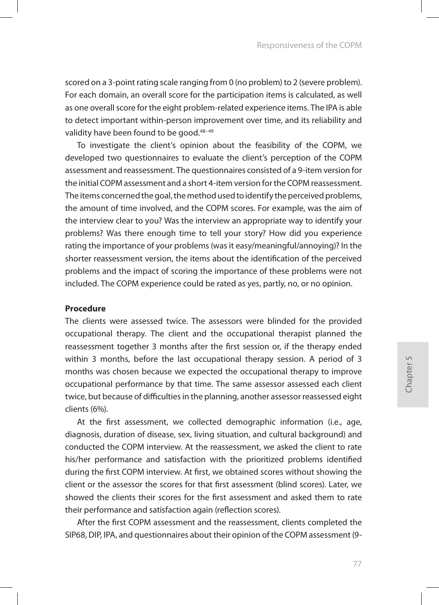scored on a 3-point rating scale ranging from 0 (no problem) to 2 (severe problem). For each domain, an overall score for the participation items is calculated, as well as one overall score for the eight problem-related experience items. The IPA is able to detect important within-person improvement over time, and its reliability and validity have been found to be good.<sup>48-49</sup>

To investigate the client's opinion about the feasibility of the COPM, we developed two questionnaires to evaluate the client's perception of the COPM assessment and reassessment. The questionnaires consisted of a 9-item version for the initial COPM assessment and a short 4-item version for the COPM reassessment. The items concerned the goal, the method used to identify the perceived problems, the amount of time involved, and the COPM scores. For example, was the aim of the interview clear to you? Was the interview an appropriate way to identify your problems? Was there enough time to tell your story? How did you experience rating the importance of your problems (was it easy/meaningful/annoying)? In the shorter reassessment version, the items about the identification of the perceived problems and the impact of scoring the importance of these problems were not included. The COPM experience could be rated as yes, partly, no, or no opinion.

#### **Procedure**

The clients were assessed twice. The assessors were blinded for the provided occupational therapy. The client and the occupational therapist planned the reassessment together 3 months after the first session or, if the therapy ended within 3 months, before the last occupational therapy session. A period of 3 months was chosen because we expected the occupational therapy to improve occupational performance by that time. The same assessor assessed each client twice, but because of difficulties in the planning, another assessor reassessed eight clients (6%).

At the first assessment, we collected demographic information (i.e., age, diagnosis, duration of disease, sex, living situation, and cultural background) and conducted the COPM interview. At the reassessment, we asked the client to rate his/her performance and satisfaction with the prioritized problems identified during the first COPM interview. At first, we obtained scores without showing the client or the assessor the scores for that first assessment (blind scores). Later, we showed the clients their scores for the first assessment and asked them to rate their performance and satisfaction again (reflection scores).

After the first COPM assessment and the reassessment, clients completed the SIP68, DIP, IPA, and questionnaires about their opinion of the COPM assessment (9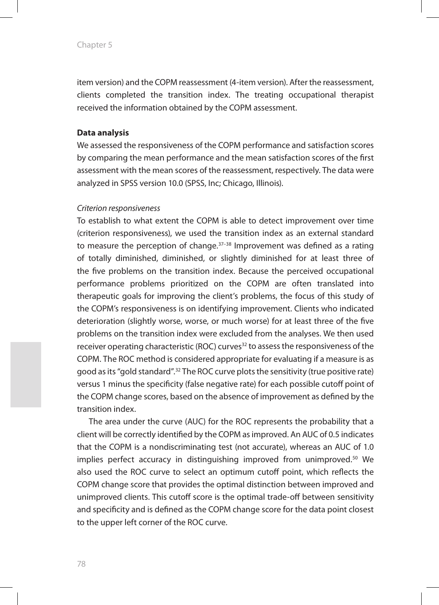item version) and the COPM reassessment (4-item version). After the reassessment, clients completed the transition index. The treating occupational therapist received the information obtained by the COPM assessment.

#### **Data analysis**

We assessed the responsiveness of the COPM performance and satisfaction scores by comparing the mean performance and the mean satisfaction scores of the first assessment with the mean scores of the reassessment, respectively. The data were analyzed in SPSS version 10.0 (SPSS, Inc; Chicago, Illinois).

#### *Criterion responsiveness*

To establish to what extent the COPM is able to detect improvement over time (criterion responsiveness), we used the transition index as an external standard to measure the perception of change.<sup>37-38</sup> Improvement was defined as a rating of totally diminished, diminished, or slightly diminished for at least three of the five problems on the transition index. Because the perceived occupational performance problems prioritized on the COPM are often translated into therapeutic goals for improving the client's problems, the focus of this study of the COPM's responsiveness is on identifying improvement. Clients who indicated deterioration (slightly worse, worse, or much worse) for at least three of the five problems on the transition index were excluded from the analyses. We then used receiver operating characteristic (ROC) curves<sup>32</sup> to assess the responsiveness of the COPM. The ROC method is considered appropriate for evaluating if a measure is as good as its "gold standard".32 The ROC curve plots the sensitivity (true positive rate) versus 1 minus the specificity (false negative rate) for each possible cutoff point of the COPM change scores, based on the absence of improvement as defined by the transition index.

The area under the curve (AUC) for the ROC represents the probability that a client will be correctly identified by the COPM as improved. An AUC of 0.5 indicates that the COPM is a nondiscriminating test (not accurate), whereas an AUC of 1.0 implies perfect accuracy in distinguishing improved from unimproved.<sup>50</sup> We also used the ROC curve to select an optimum cutoff point, which reflects the COPM change score that provides the optimal distinction between improved and unimproved clients. This cutoff score is the optimal trade-off between sensitivity and specificity and is defined as the COPM change score for the data point closest to the upper left corner of the ROC curve.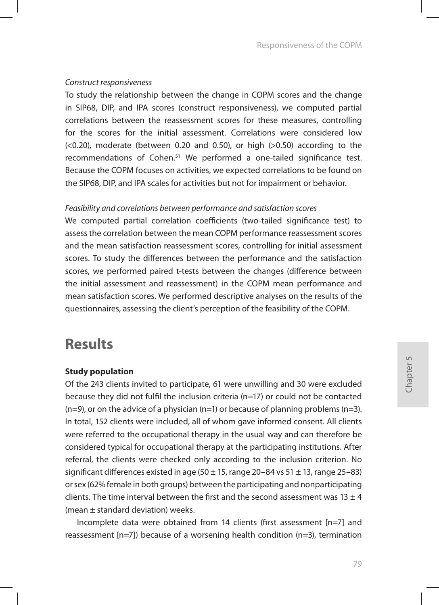#### *Construct responsiveness*

To study the relationship between the change in COPM scores and the change in SIP68, DIP, and IPA scores (construct responsiveness), we computed partial correlations between the reassessment scores for these measures, controlling for the scores for the initial assessment. Correlations were considered low  $( $0.20$ )$ , moderate (between 0.20 and 0.50), or high ( $>0.50$ ) according to the recommendations of Cohen.51 We performed a one-tailed significance test. Because the COPM focuses on activities, we expected correlations to be found on the SIP68, DIP, and IPA scales for activities but not for impairment or behavior.

#### *Feasibility and correlations between performance and satisfaction scores*

We computed partial correlation coefficients (two-tailed significance test) to assess the correlation between the mean COPM performance reassessment scores and the mean satisfaction reassessment scores, controlling for initial assessment scores. To study the differences between the performance and the satisfaction scores, we performed paired t-tests between the changes (difference between the initial assessment and reassessment) in the COPM mean performance and mean satisfaction scores. We performed descriptive analyses on the results of the questionnaires, assessing the client's perception of the feasibility of the COPM.

### **Results**

#### **Study population**

Of the 243 clients invited to participate, 61 were unwilling and 30 were excluded because they did not fulfil the inclusion criteria (n=17) or could not be contacted  $(n=9)$ , or on the advice of a physician  $(n=1)$  or because of planning problems  $(n=3)$ . In total, 152 clients were included, all of whom gave informed consent. All clients were referred to the occupational therapy in the usual way and can therefore be considered typical for occupational therapy at the participating institutions. After referral, the clients were checked only according to the inclusion criterion. No significant differences existed in age ( $50 \pm 15$ , range  $20-84$  vs  $51 \pm 13$ , range  $25-83$ ) or sex (62% female in both groups) between the participating and nonparticipating clients. The time interval between the first and the second assessment was  $13 \pm 4$ (mean ± standard deviation) weeks.

Incomplete data were obtained from 14 clients (first assessment [n=7] and reassessment  $[n=7]$ ) because of a worsening health condition  $(n=3)$ , termination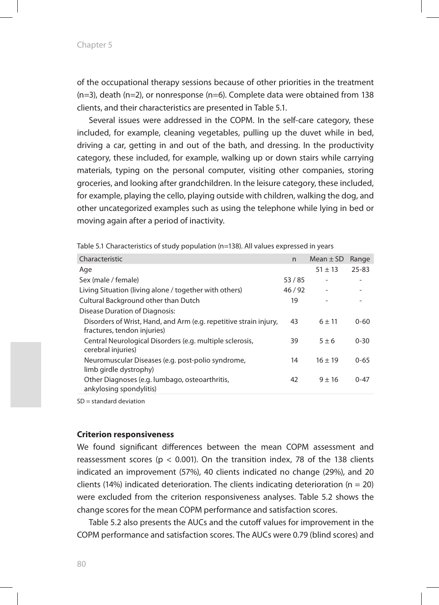of the occupational therapy sessions because of other priorities in the treatment (n=3), death (n=2), or nonresponse (n=6). Complete data were obtained from 138 clients, and their characteristics are presented in Table 5.1.

Several issues were addressed in the COPM. In the self-care category, these included, for example, cleaning vegetables, pulling up the duvet while in bed, driving a car, getting in and out of the bath, and dressing. In the productivity category, these included, for example, walking up or down stairs while carrying materials, typing on the personal computer, visiting other companies, storing groceries, and looking after grandchildren. In the leisure category, these included, for example, playing the cello, playing outside with children, walking the dog, and other uncategorized examples such as using the telephone while lying in bed or moving again after a period of inactivity.

| Characteristic                                                                                   | n     | Mean $\pm$ SD            | Range     |
|--------------------------------------------------------------------------------------------------|-------|--------------------------|-----------|
| Age                                                                                              |       | $51 \pm 13$              | $25 - 83$ |
| Sex (male / female)                                                                              | 53/85 |                          |           |
| Living Situation (living alone / together with others)                                           | 46/92 | $\overline{\phantom{a}}$ |           |
| Cultural Background other than Dutch                                                             | 19    |                          |           |
| Disease Duration of Diagnosis:                                                                   |       |                          |           |
| Disorders of Wrist, Hand, and Arm (e.g. repetitive strain injury,<br>fractures, tendon injuries) | 43    | $6 + 11$                 | $0 - 60$  |
| Central Neurological Disorders (e.g. multiple sclerosis,<br>cerebral injuries)                   | 39    | $5+6$                    | $0 - 30$  |
| Neuromuscular Diseases (e.g. post-polio syndrome,<br>limb girdle dystrophy)                      | 14    | $16 + 19$                | $0 - 65$  |
| Other Diagnoses (e.g. lumbago, osteoarthritis,<br>ankylosing spondylitis)                        | 42    | $9 + 16$                 | $0 - 47$  |

Table 5.1 Characteristics of study population (n=138). All values expressed in years

SD = standard deviation

#### **Criterion responsiveness**

We found significant differences between the mean COPM assessment and reassessment scores ( $p < 0.001$ ). On the transition index, 78 of the 138 clients indicated an improvement (57%), 40 clients indicated no change (29%), and 20 clients (14%) indicated deterioration. The clients indicating deterioration ( $n = 20$ ) were excluded from the criterion responsiveness analyses. Table 5.2 shows the change scores for the mean COPM performance and satisfaction scores.

Table 5.2 also presents the AUCs and the cutoff values for improvement in the COPM performance and satisfaction scores. The AUCs were 0.79 (blind scores) and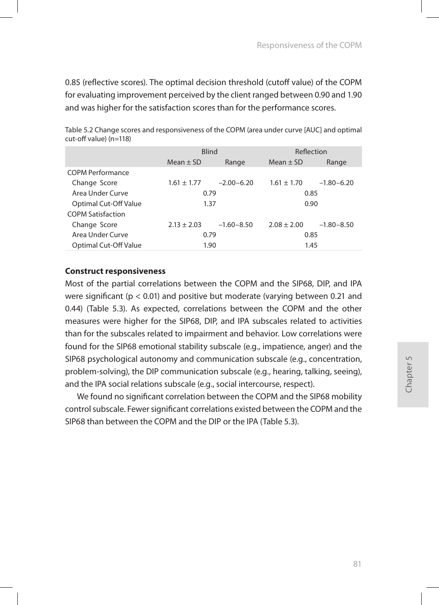0.85 (reflective scores). The optimal decision threshold (cutoff value) of the COPM for evaluating improvement perceived by the client ranged between 0.90 and 1.90 and was higher for the satisfaction scores than for the performance scores.

|                          | <b>Blind</b>           |                | Reflection    |                |  |  |
|--------------------------|------------------------|----------------|---------------|----------------|--|--|
|                          | Mean $\pm$ SD<br>Range |                | Mean $\pm$ SD | Range          |  |  |
| <b>COPM Performance</b>  |                        |                |               |                |  |  |
| Change Score             | $1.61 \pm 1.77$        | $-2.00-6.20$   | $1.61 + 1.70$ | $-1.80 - 6.20$ |  |  |
| Area Under Curve         | 0.79                   |                | 0.85          |                |  |  |
| Optimal Cut-Off Value    | 1.37                   |                | 0.90          |                |  |  |
| <b>COPM Satisfaction</b> |                        |                |               |                |  |  |
| Change Score             | $2.13 \pm 2.03$        | $-1.60 - 8.50$ | $2.08 + 2.00$ | $-1.80 - 8.50$ |  |  |
| Area Under Curve         | 0.79                   |                | 0.85          |                |  |  |
| Optimal Cut-Off Value    | 1.90                   |                | 1.45          |                |  |  |

Table 5.2 Change scores and responsiveness of the COPM (area under curve [AUC] and optimal cut-off value) (n=118)

#### **Construct responsiveness**

Most of the partial correlations between the COPM and the SIP68, DIP, and IPA were significant ( $p < 0.01$ ) and positive but moderate (varying between 0.21 and 0.44) (Table 5.3). As expected, correlations between the COPM and the other measures were higher for the SIP68, DIP, and IPA subscales related to activities than for the subscales related to impairment and behavior. Low correlations were found for the SIP68 emotional stability subscale (e.g., impatience, anger) and the SIP68 psychological autonomy and communication subscale (e.g., concentration, problem-solving), the DIP communication subscale (e.g., hearing, talking, seeing), and the IPA social relations subscale (e.g., social intercourse, respect).

We found no significant correlation between the COPM and the SIP68 mobility control subscale. Fewer significant correlations existed between the COPM and the SIP68 than between the COPM and the DIP or the IPA (Table 5.3).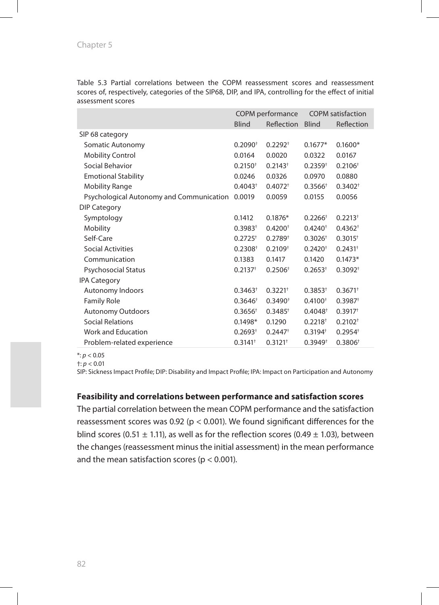Table 5.3 Partial correlations between the COPM reassessment scores and reassessment scores of, respectively, categories of the SIP68, DIP, and IPA, controlling for the effect of initial assessment scores

|                                          | COPM performance      |                       | <b>COPM</b> satisfaction |                       |
|------------------------------------------|-----------------------|-----------------------|--------------------------|-----------------------|
|                                          | <b>Blind</b>          | Reflection            | <b>Blind</b>             | Reflection            |
| SIP 68 category                          |                       |                       |                          |                       |
| Somatic Autonomy                         | $0.2090^{+}$          | $0.2292^{+}$          | $0.1677*$                | $0.1600*$             |
| <b>Mobility Control</b>                  | 0.0164                | 0.0020                | 0.0322                   | 0.0167                |
| Social Behavior                          | $0.2150^{+}$          | $0.2143^{+}$          | $0.2359^{+}$             | 0.2106 <sup>†</sup>   |
| <b>Emotional Stability</b>               | 0.0246                | 0.0326                | 0.0970                   | 0.0880                |
| <b>Mobility Range</b>                    | $0.4043^{+}$          | $0.4072^{+}$          | $0.3566^+$               | $0.3402^{+}$          |
| Psychological Autonomy and Communication | 0.0019                | 0.0059                | 0.0155                   | 0.0056                |
| <b>DIP Category</b>                      |                       |                       |                          |                       |
| Symptology                               | 0.1412                | $0.1876*$             | $0.2266^+$               | $0.2213^{+}$          |
| <b>Mobility</b>                          | $0.3983^{+}$          | 0.4200 <sup>†</sup>   | $0.4240^{+}$             | $0.4362^{+}$          |
| Self-Care                                | $0.2725^{+}$          | $0.2789^{+}$          | $0.3026^{+}$             | $0.3015^{+}$          |
| <b>Social Activities</b>                 | 0.2308 <sup>†</sup>   | $0.2109^{+}$          | $0.2420^{+}$             | $0.2431^{+}$          |
| Communication                            | 0.1383                | 0.1417                | 0.1420                   | $0.1473*$             |
| <b>Psychosocial Status</b>               | $0.2137$ <sup>+</sup> | 0.2506 <sup>†</sup>   | $0.2653^{+}$             | $0.3092^{+}$          |
| <b>IPA Category</b>                      |                       |                       |                          |                       |
| Autonomy Indoors                         | $0.3463^{+}$          | $0.3221$ <sup>+</sup> | $0.3853^{+}$             | $0.3671$ <sup>+</sup> |
| <b>Family Role</b>                       | $0.3646^+$            | $0.3490^{+}$          | $0.4100^{+}$             | $0.3987$ <sup>+</sup> |
| <b>Autonomy Outdoors</b>                 | $0.3656^+$            | $0.3485^{+}$          | 0.4048 <sup>†</sup>      | $0.3917^{+}$          |
| <b>Social Relations</b>                  | $0.1498*$             | 0.1290                | $0.2218^{+}$             | $0.2102^{+}$          |
| Work and Education                       | $0.2693^{+}$          | $0.2447$ <sup>+</sup> | $0.3194^{+}$             | $0.2954^{+}$          |
| Problem-related experience               | $0.3141^{+}$          | $0.3121$ <sup>+</sup> | $0.3949^{+}$             | 0.3806 <sup>†</sup>   |

\*: *p* < 0.05

 $\dagger: p < 0.01$ 

SIP: Sickness Impact Profile; DIP: Disability and Impact Profile; IPA: Impact on Participation and Autonomy

#### **Feasibility and correlations between performance and satisfaction scores**

The partial correlation between the mean COPM performance and the satisfaction reassessment scores was 0.92 (p < 0.001). We found significant differences for the blind scores (0.51  $\pm$  1.11), as well as for the reflection scores (0.49  $\pm$  1.03), between the changes (reassessment minus the initial assessment) in the mean performance and the mean satisfaction scores ( $p < 0.001$ ).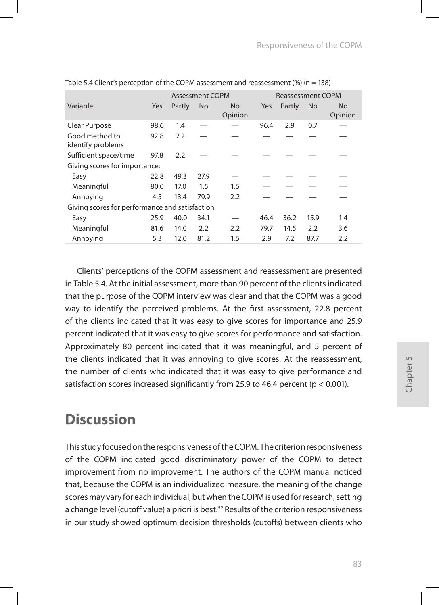|                                                 |            | <b>Assessment COPM</b> |           |                | <b>Reassessment COPM</b> |        |                |                      |
|-------------------------------------------------|------------|------------------------|-----------|----------------|--------------------------|--------|----------------|----------------------|
| Variable                                        | <b>Yes</b> | Partly                 | <b>No</b> | No.<br>Opinion | Yes                      | Partly | N <sub>o</sub> | <b>No</b><br>Opinion |
| Clear Purpose                                   | 98.6       | 1.4                    |           |                | 96.4                     | 2.9    | 0.7            |                      |
| Good method to<br>identify problems             | 92.8       | 7.2                    |           |                |                          |        |                |                      |
| Sufficient space/time                           | 97.8       | 2.2                    |           |                |                          |        |                |                      |
| Giving scores for importance:                   |            |                        |           |                |                          |        |                |                      |
| Easy                                            | 22.8       | 49.3                   | 27.9      |                |                          |        |                |                      |
| Meaningful                                      | 80.0       | 17.0                   | 1.5       | 1.5            |                          |        |                |                      |
| Annoying                                        | 4.5        | 13.4                   | 79.9      | 2.2            |                          |        |                |                      |
| Giving scores for performance and satisfaction: |            |                        |           |                |                          |        |                |                      |
| Easy                                            | 25.9       | 40.0                   | 34.1      |                | 46.4                     | 36.2   | 15.9           | 1.4                  |
| Meaningful                                      | 81.6       | 14.0                   | 2.2       | 2.2            | 79.7                     | 14.5   | 2.2            | 3.6                  |
| Annoying                                        | 5.3        | 12.0                   | 81.2      | 1.5            | 2.9                      | 7.2    | 87.7           | 2.2                  |

Table 5.4 Client's perception of the COPM assessment and reassessment  $\frac{96}{10}$  (n = 138)

Clients' perceptions of the COPM assessment and reassessment are presented in Table 5.4. At the initial assessment, more than 90 percent of the clients indicated that the purpose of the COPM interview was clear and that the COPM was a good way to identify the perceived problems. At the first assessment, 22.8 percent of the clients indicated that it was easy to give scores for importance and 25.9 percent indicated that it was easy to give scores for performance and satisfaction. Approximately 80 percent indicated that it was meaningful, and 5 percent of the clients indicated that it was annoying to give scores. At the reassessment, the number of clients who indicated that it was easy to give performance and satisfaction scores increased significantly from 25.9 to 46.4 percent ( $p < 0.001$ ).

# **Discussion**

This study focused on the responsiveness of the COPM. The criterion responsiveness of the COPM indicated good discriminatory power of the COPM to detect improvement from no improvement. The authors of the COPM manual noticed that, because the COPM is an individualized measure, the meaning of the change scores may vary for each individual, but when the COPM is used for research, setting a change level (cutoff value) a priori is best.<sup>52</sup> Results of the criterion responsiveness in our study showed optimum decision thresholds (cutoffs) between clients who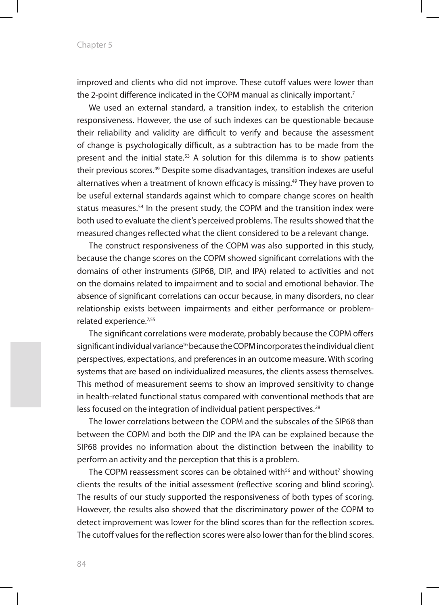improved and clients who did not improve. These cutoff values were lower than the 2-point difference indicated in the COPM manual as clinically important.<sup>7</sup>

We used an external standard, a transition index, to establish the criterion responsiveness. However, the use of such indexes can be questionable because their reliability and validity are difficult to verify and because the assessment of change is psychologically difficult, as a subtraction has to be made from the present and the initial state.53 A solution for this dilemma is to show patients their previous scores.49 Despite some disadvantages, transition indexes are useful alternatives when a treatment of known efficacy is missing.49 They have proven to be useful external standards against which to compare change scores on health status measures.54 In the present study, the COPM and the transition index were both used to evaluate the client's perceived problems. The results showed that the measured changes reflected what the client considered to be a relevant change.

The construct responsiveness of the COPM was also supported in this study, because the change scores on the COPM showed significant correlations with the domains of other instruments (SIP68, DIP, and IPA) related to activities and not on the domains related to impairment and to social and emotional behavior. The absence of significant correlations can occur because, in many disorders, no clear relationship exists between impairments and either performance or problemrelated experience.7,55

The significant correlations were moderate, probably because the COPM offers significant individual variance<sup>16</sup> because the COPM incorporates the individual client perspectives, expectations, and preferences in an outcome measure. With scoring systems that are based on individualized measures, the clients assess themselves. This method of measurement seems to show an improved sensitivity to change in health-related functional status compared with conventional methods that are less focused on the integration of individual patient perspectives.<sup>28</sup>

The lower correlations between the COPM and the subscales of the SIP68 than between the COPM and both the DIP and the IPA can be explained because the SIP68 provides no information about the distinction between the inability to perform an activity and the perception that this is a problem.

The COPM reassessment scores can be obtained with<sup>56</sup> and without<sup>7</sup> showing clients the results of the initial assessment (reflective scoring and blind scoring). The results of our study supported the responsiveness of both types of scoring. However, the results also showed that the discriminatory power of the COPM to detect improvement was lower for the blind scores than for the reflection scores. The cutoff values for the reflection scores were also lower than for the blind scores.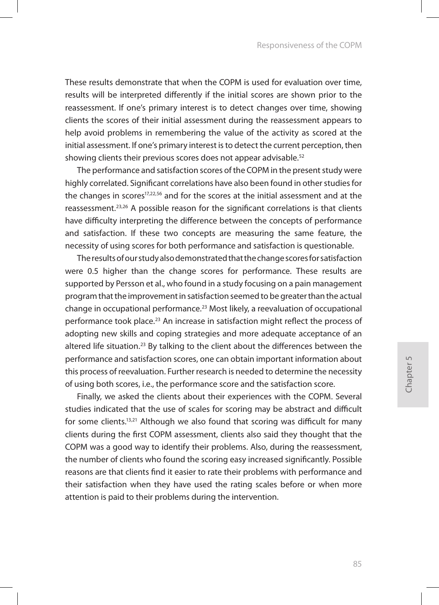These results demonstrate that when the COPM is used for evaluation over time, results will be interpreted differently if the initial scores are shown prior to the reassessment. If one's primary interest is to detect changes over time, showing clients the scores of their initial assessment during the reassessment appears to help avoid problems in remembering the value of the activity as scored at the initial assessment. If one's primary interest is to detect the current perception, then showing clients their previous scores does not appear advisable.<sup>52</sup>

The performance and satisfaction scores of the COPM in the present study were highly correlated. Significant correlations have also been found in other studies for the changes in scores17,22,56 and for the scores at the initial assessment and at the reassessment.<sup>23,26</sup> A possible reason for the significant correlations is that clients have difficulty interpreting the difference between the concepts of performance and satisfaction. If these two concepts are measuring the same feature, the necessity of using scores for both performance and satisfaction is questionable.

The results of our study also demonstrated that the change scores for satisfaction were 0.5 higher than the change scores for performance. These results are supported by Persson et al., who found in a study focusing on a pain management program that the improvement in satisfaction seemed to be greater than the actual change in occupational performance.<sup>23</sup> Most likely, a reevaluation of occupational performance took place.<sup>23</sup> An increase in satisfaction might reflect the process of adopting new skills and coping strategies and more adequate acceptance of an altered life situation.<sup>23</sup> By talking to the client about the differences between the performance and satisfaction scores, one can obtain important information about this process of reevaluation. Further research is needed to determine the necessity of using both scores, i.e., the performance score and the satisfaction score.

Finally, we asked the clients about their experiences with the COPM. Several studies indicated that the use of scales for scoring may be abstract and difficult for some clients.13,21 Although we also found that scoring was difficult for many clients during the first COPM assessment, clients also said they thought that the COPM was a good way to identify their problems. Also, during the reassessment, the number of clients who found the scoring easy increased significantly. Possible reasons are that clients find it easier to rate their problems with performance and their satisfaction when they have used the rating scales before or when more attention is paid to their problems during the intervention.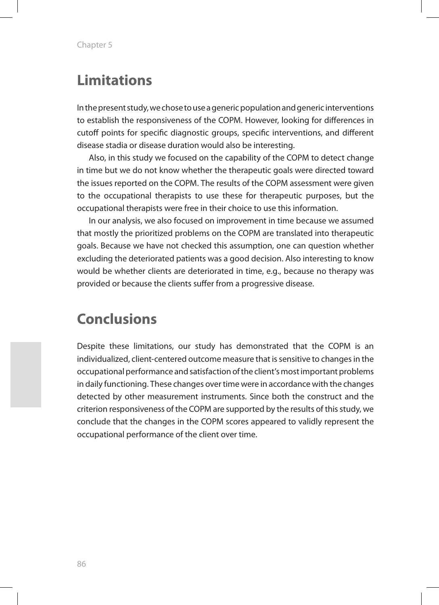# **Limitations**

In the present study, we chose to use a generic population and generic interventions to establish the responsiveness of the COPM. However, looking for differences in cutoff points for specific diagnostic groups, specific interventions, and different disease stadia or disease duration would also be interesting.

Also, in this study we focused on the capability of the COPM to detect change in time but we do not know whether the therapeutic goals were directed toward the issues reported on the COPM. The results of the COPM assessment were given to the occupational therapists to use these for therapeutic purposes, but the occupational therapists were free in their choice to use this information.

In our analysis, we also focused on improvement in time because we assumed that mostly the prioritized problems on the COPM are translated into therapeutic goals. Because we have not checked this assumption, one can question whether excluding the deteriorated patients was a good decision. Also interesting to know would be whether clients are deteriorated in time, e.g., because no therapy was provided or because the clients suffer from a progressive disease.

### **Conclusions**

Despite these limitations, our study has demonstrated that the COPM is an individualized, client-centered outcome measure that is sensitive to changes in the occupational performance and satisfaction of the client's most important problems in daily functioning. These changes over time were in accordance with the changes detected by other measurement instruments. Since both the construct and the criterion responsiveness of the COPM are supported by the results of this study, we conclude that the changes in the COPM scores appeared to validly represent the occupational performance of the client over time.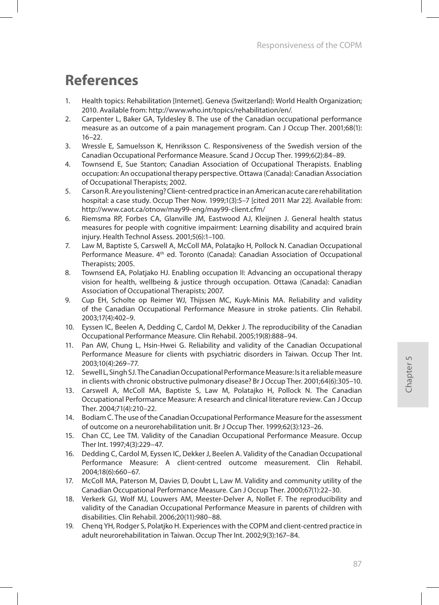# **References**

- 1. Health topics: Rehabilitation [Internet]. Geneva (Switzerland): World Health Organization; 2010. Available from: http://www.who.int/topics/rehabilitation/en/.
- 2. Carpenter L, Baker GA, Tyldesley B. The use of the Canadian occupational performance measure as an outcome of a pain management program. Can J Occup Ther. 2001;68(1): 16–22.
- 3. Wressle E, Samuelsson K, Henriksson C. Responsiveness of the Swedish version of the Canadian Occupational Performance Measure. Scand J Occup Ther. 1999;6(2):84–89.
- 4. Townsend E, Sue Stanton; Canadian Association of Occupational Therapists. Enabling occupation: An occupational therapy perspective. Ottawa (Canada): Canadian Association of Occupational Therapists; 2002.
- 5. Carson R. Are you listening? Client-centred practice in an American acute care rehabilitation hospital: a case study. Occup Ther Now. 1999;1(3):5–7 [cited 2011 Mar 22]. Available from: http://www.caot.ca/otnow/may99-eng/may99-client.cfm/
- 6. Riemsma RP, Forbes CA, Glanville JM, Eastwood AJ, Kleijnen J. General health status measures for people with cognitive impairment: Learning disability and acquired brain injury. Health Technol Assess. 2001;5(6):1–100.
- 7. Law M, Baptiste S, Carswell A, McColl MA, Polatajko H, Pollock N. Canadian Occupational Performance Measure. 4th ed. Toronto (Canada): Canadian Association of Occupational Therapists; 2005.
- 8. Townsend EA, Polatjako HJ. Enabling occupation II: Advancing an occupational therapy vision for health, wellbeing & justice through occupation. Ottawa (Canada): Canadian Association of Occupational Therapists; 2007.
- 9. Cup EH, Scholte op Reimer WJ, Thijssen MC, Kuyk-Minis MA. Reliability and validity of the Canadian Occupational Performance Measure in stroke patients. Clin Rehabil. 2003;17(4):402–9.
- 10. Eyssen IC, Beelen A, Dedding C, Cardol M, Dekker J. The reproducibility of the Canadian Occupational Performance Measure. Clin Rehabil. 2005;19(8):888–94.
- 11. Pan AW, Chung L, Hsin-Hwei G. Reliability and validity of the Canadian Occupational Performance Measure for clients with psychiatric disorders in Taiwan. Occup Ther Int. 2003;10(4):269–77.
- 12. Sewell L, Singh SJ. The Canadian Occupational Performance Measure: Is it a reliable measure in clients with chronic obstructive pulmonary disease? Br J Occup Ther. 2001;64(6):305–10.
- 13. Carswell A, McColl MA, Baptiste S, Law M, Polatajko H, Pollock N. The Canadian Occupational Performance Measure: A research and clinical literature review. Can J Occup Ther. 2004;71(4):210–22.
- 14. Bodiam C. The use of the Canadian Occupational Performance Measure for the assessment of outcome on a neurorehabilitation unit. Br J Occup Ther. 1999;62(3):123–26.
- 15. Chan CC, Lee TM. Validity of the Canadian Occupational Performance Measure. Occup Ther Int. 1997;4(3):229–47.
- 16. Dedding C, Cardol M, Eyssen IC, Dekker J, Beelen A. Validity of the Canadian Occupational Performance Measure: A client-centred outcome measurement. Clin Rehabil. 2004;18(6):660–67.
- 17. McColl MA, Paterson M, Davies D, Doubt L, Law M. Validity and community utility of the Canadian Occupational Performance Measure. Can J Occup Ther. 2000;67(1):22–30.
- 18. Verkerk GJ, Wolf MJ, Louwers AM, Meester-Delver A, Nollet F. The reproducibility and validity of the Canadian Occupational Performance Measure in parents of children with disabilities. Clin Rehabil. 2006;20(11):980–88.
- 19. Chenq YH, Rodger S, Polatjko H. Experiences with the COPM and client-centred practice in adult neurorehabilitation in Taiwan. Occup Ther Int. 2002;9(3):167–84.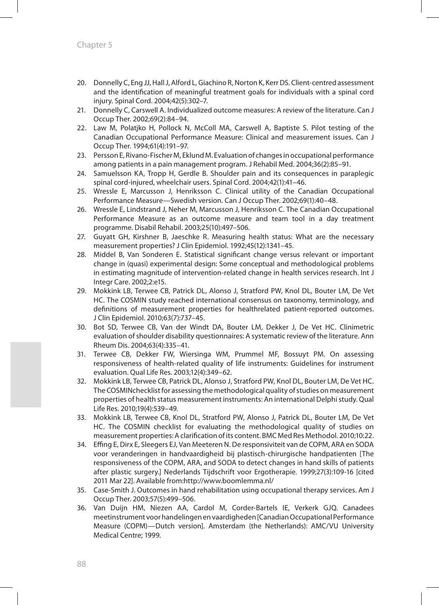- 20. Donnelly C, Eng JJ, Hall J, Alford L, Giachino R, Norton K, Kerr DS. Client-centred assessment and the identification of meaningful treatment goals for individuals with a spinal cord injury. Spinal Cord. 2004;42(5):302–7.
- 21. Donnelly C, Carswell A. Individualized outcome measures: A review of the literature. Can J Occup Ther. 2002;69(2):84–94.
- 22. Law M, Polatjko H, Pollock N, McColl MA, Carswell A, Baptiste S. Pilot testing of the Canadian Occupational Performance Measure: Clinical and measurement issues. Can J Occup Ther. 1994;61(4):191–97.
- 23. Persson E, Rivano-Fischer M, Eklund M. Evaluation of changes in occupational performance among patients in a pain management program. J Rehabil Med. 2004;36(2):85–91.
- 24. Samuelsson KA, Tropp H, Gerdle B. Shoulder pain and its consequences in paraplegic spinal cord-injured, wheelchair users. Spinal Cord. 2004;42(1):41–46.
- 25. Wressle E, Marcusson J, Henriksson C. Clinical utility of the Canadian Occupational Performance Measure—Swedish version. Can J Occup Ther. 2002;69(1):40–48.
- 26. Wressle E, Lindstrand J, Neher M, Marcusson J, Henriksson C. The Canadian Occupational Performance Measure as an outcome measure and team tool in a day treatment programme. Disabil Rehabil. 2003;25(10):497–506.
- 27. Guyatt GH, Kirshner B, Jaeschke R. Measuring health status: What are the necessary measurement properties? J Clin Epidemiol. 1992;45(12):1341–45.
- 28. Middel B, Van Sonderen E. Statistical significant change versus relevant or important change in (quasi) experimental design: Some conceptual and methodological problems in estimating magnitude of intervention-related change in health services research. Int J Integr Care. 2002;2:e15.
- 29. Mokkink LB, Terwee CB, Patrick DL, Alonso J, Stratford PW, Knol DL, Bouter LM, De Vet HC. The COSMIN study reached international consensus on taxonomy, terminology, and definitions of measurement properties for healthrelated patient-reported outcomes. J Clin Epidemiol. 2010;63(7):737–45.
- 30. Bot SD, Terwee CB, Van der Windt DA, Bouter LM, Dekker J, De Vet HC. Clinimetric evaluation of shoulder disability questionnaires: A systematic review of the literature. Ann Rheum Dis. 2004;63(4):335–41.
- 31. Terwee CB, Dekker FW, Wiersinga WM, Prummel MF, Bossuyt PM. On assessing responsiveness of health-related quality of life instruments: Guidelines for instrument evaluation. Qual Life Res. 2003;12(4):349–62.
- 32. Mokkink LB, Terwee CB, Patrick DL, Alonso J, Stratford PW, Knol DL, Bouter LM, De Vet HC. The COSMINchecklist for assessing the methodological quality of studies on measurement properties of health status measurement instruments: An international Delphi study. Qual Life Res. 2010;19(4):539–49.
- 33. Mokkink LB, Terwee CB, Knol DL, Stratford PW, Alonso J, Patrick DL, Bouter LM, De Vet HC. The COSMIN checklist for evaluating the methodological quality of studies on measurement properties: A clarification of its content. BMC Med Res Methodol. 2010;10:22.
- 34. Effing E, Dirx E, Sleegers EJ, Van Meeteren N. De responsiviteit van de COPM, ARA en SODA voor veranderingen in handvaardigheid bij plastisch-chirurgische handpatienten [The responsiveness of the COPM, ARA, and SODA to detect changes in hand skills of patients after plastic surgery.] Nederlands Tijdschrift voor Ergotherapie. 1999;27(3):109-16 [cited 2011 Mar 22]. Available from:http://www.boomlemma.nl/
- 35. Case-Smith J. Outcomes in hand rehabilitation using occupational therapy services. Am J Occup Ther. 2003;57(5):499–506.
- 36. Van Duijn HM, Niezen AA, Cardol M, Corder-Bartels IE, Verkerk GJQ. Canadees meetinstrument voor handelingen en vaardigheden [Canadian Occupational Performance Measure (COPM)—Dutch version]. Amsterdam (the Netherlands): AMC/VU University Medical Centre; 1999.